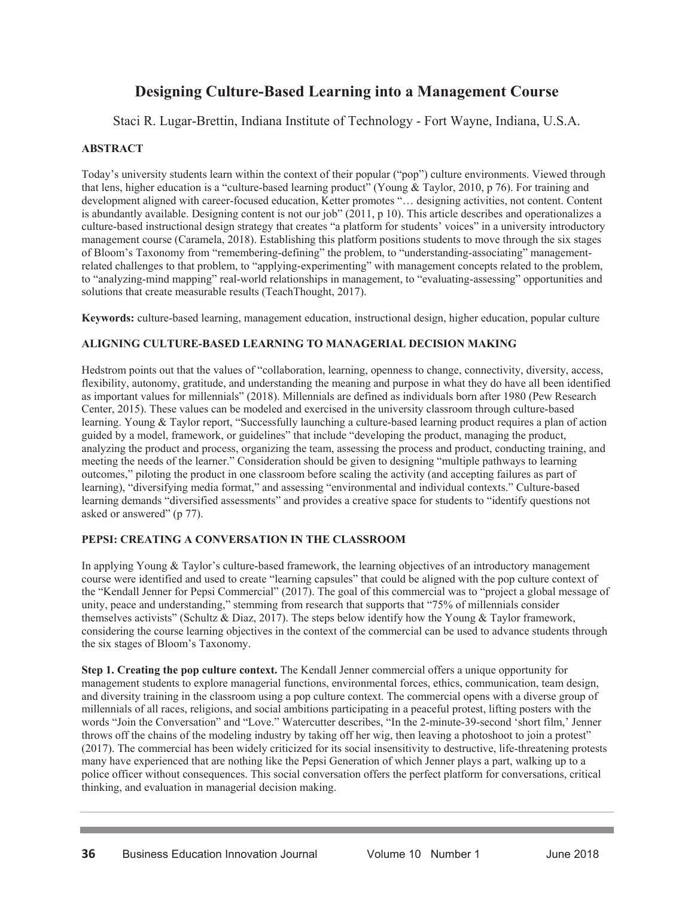# **Designing Culture-Based Learning into a Management Course**

Staci R. Lugar-Brettin, Indiana Institute of Technology - Fort Wayne, Indiana, U.S.A.

#### **ABSTRACT**

Today's university students learn within the context of their popular ("pop") culture environments. Viewed through that lens, higher education is a "culture-based learning product" (Young & Taylor, 2010, p 76). For training and development aligned with career-focused education, Ketter promotes "… designing activities, not content. Content is abundantly available. Designing content is not our job" (2011, p 10). This article describes and operationalizes a culture-based instructional design strategy that creates "a platform for students' voices" in a university introductory management course (Caramela, 2018). Establishing this platform positions students to move through the six stages of Bloom's Taxonomy from "remembering-defining" the problem, to "understanding-associating" managementrelated challenges to that problem, to "applying-experimenting" with management concepts related to the problem, to "analyzing-mind mapping" real-world relationships in management, to "evaluating-assessing" opportunities and solutions that create measurable results (TeachThought, 2017).

**Keywords:** culture-based learning, management education, instructional design, higher education, popular culture

#### **ALIGNING CULTURE-BASED LEARNING TO MANAGERIAL DECISION MAKING**

Hedstrom points out that the values of "collaboration, learning, openness to change, connectivity, diversity, access, flexibility, autonomy, gratitude, and understanding the meaning and purpose in what they do have all been identified as important values for millennials" (2018). Millennials are defined as individuals born after 1980 (Pew Research Center, 2015). These values can be modeled and exercised in the university classroom through culture-based learning. Young & Taylor report, "Successfully launching a culture-based learning product requires a plan of action guided by a model, framework, or guidelines" that include "developing the product, managing the product, analyzing the product and process, organizing the team, assessing the process and product, conducting training, and meeting the needs of the learner." Consideration should be given to designing "multiple pathways to learning outcomes," piloting the product in one classroom before scaling the activity (and accepting failures as part of learning), "diversifying media format," and assessing "environmental and individual contexts." Culture-based learning demands "diversified assessments" and provides a creative space for students to "identify questions not asked or answered" (p 77).

## **PEPSI: CREATING A CONVERSATION IN THE CLASSROOM**

In applying Young & Taylor's culture-based framework, the learning objectives of an introductory management course were identified and used to create "learning capsules" that could be aligned with the pop culture context of the "Kendall Jenner for Pepsi Commercial" (2017). The goal of this commercial was to "project a global message of unity, peace and understanding," stemming from research that supports that "75% of millennials consider themselves activists" (Schultz & Diaz, 2017). The steps below identify how the Young & Taylor framework, considering the course learning objectives in the context of the commercial can be used to advance students through the six stages of Bloom's Taxonomy.

**Step 1. Creating the pop culture context.** The Kendall Jenner commercial offers a unique opportunity for management students to explore managerial functions, environmental forces, ethics, communication, team design, and diversity training in the classroom using a pop culture context. The commercial opens with a diverse group of millennials of all races, religions, and social ambitions participating in a peaceful protest, lifting posters with the words "Join the Conversation" and "Love." Watercutter describes, "In the 2-minute-39-second 'short film,' Jenner throws off the chains of the modeling industry by taking off her wig, then leaving a photoshoot to join a protest" (2017). The commercial has been widely criticized for its social insensitivity to destructive, life-threatening protests many have experienced that are nothing like the Pepsi Generation of which Jenner plays a part, walking up to a police officer without consequences. This social conversation offers the perfect platform for conversations, critical thinking, and evaluation in managerial decision making.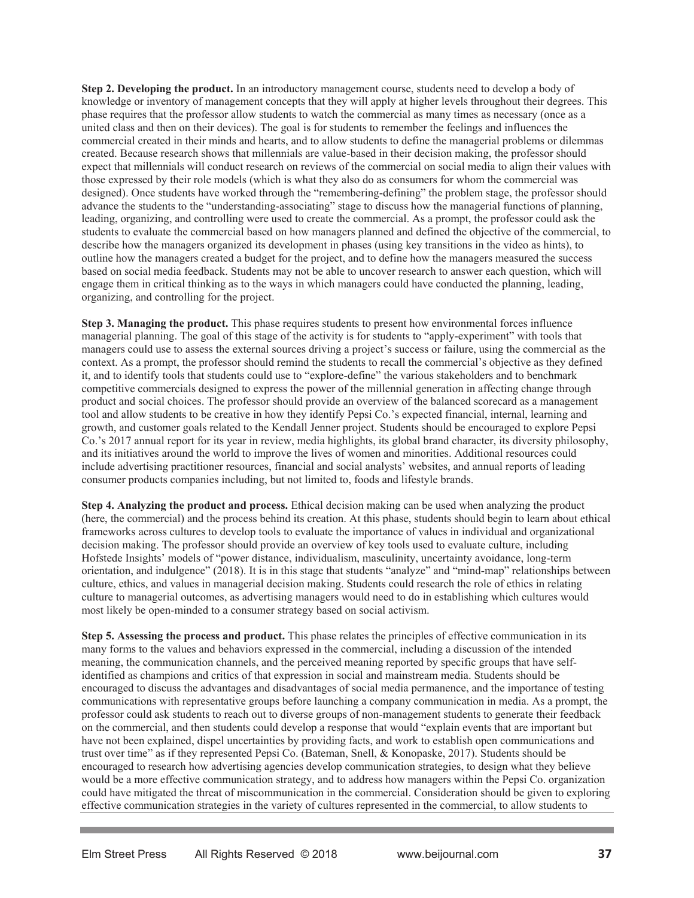**Step 2. Developing the product.** In an introductory management course, students need to develop a body of knowledge or inventory of management concepts that they will apply at higher levels throughout their degrees. This phase requires that the professor allow students to watch the commercial as many times as necessary (once as a united class and then on their devices). The goal is for students to remember the feelings and influences the commercial created in their minds and hearts, and to allow students to define the managerial problems or dilemmas created. Because research shows that millennials are value-based in their decision making, the professor should expect that millennials will conduct research on reviews of the commercial on social media to align their values with those expressed by their role models (which is what they also do as consumers for whom the commercial was designed). Once students have worked through the "remembering-defining" the problem stage, the professor should advance the students to the "understanding-associating" stage to discuss how the managerial functions of planning, leading, organizing, and controlling were used to create the commercial. As a prompt, the professor could ask the students to evaluate the commercial based on how managers planned and defined the objective of the commercial, to describe how the managers organized its development in phases (using key transitions in the video as hints), to outline how the managers created a budget for the project, and to define how the managers measured the success based on social media feedback. Students may not be able to uncover research to answer each question, which will engage them in critical thinking as to the ways in which managers could have conducted the planning, leading, organizing, and controlling for the project.

**Step 3. Managing the product.** This phase requires students to present how environmental forces influence managerial planning. The goal of this stage of the activity is for students to "apply-experiment" with tools that managers could use to assess the external sources driving a project's success or failure, using the commercial as the context. As a prompt, the professor should remind the students to recall the commercial's objective as they defined it, and to identify tools that students could use to "explore-define" the various stakeholders and to benchmark competitive commercials designed to express the power of the millennial generation in affecting change through product and social choices. The professor should provide an overview of the balanced scorecard as a management tool and allow students to be creative in how they identify Pepsi Co.'s expected financial, internal, learning and growth, and customer goals related to the Kendall Jenner project. Students should be encouraged to explore Pepsi Co.'s 2017 annual report for its year in review, media highlights, its global brand character, its diversity philosophy, and its initiatives around the world to improve the lives of women and minorities. Additional resources could include advertising practitioner resources, financial and social analysts' websites, and annual reports of leading consumer products companies including, but not limited to, foods and lifestyle brands.

**Step 4. Analyzing the product and process.** Ethical decision making can be used when analyzing the product (here, the commercial) and the process behind its creation. At this phase, students should begin to learn about ethical frameworks across cultures to develop tools to evaluate the importance of values in individual and organizational decision making. The professor should provide an overview of key tools used to evaluate culture, including Hofstede Insights' models of "power distance, individualism, masculinity, uncertainty avoidance, long-term orientation, and indulgence" (2018). It is in this stage that students "analyze" and "mind-map" relationships between culture, ethics, and values in managerial decision making. Students could research the role of ethics in relating culture to managerial outcomes, as advertising managers would need to do in establishing which cultures would most likely be open-minded to a consumer strategy based on social activism.

**Step 5. Assessing the process and product.** This phase relates the principles of effective communication in its many forms to the values and behaviors expressed in the commercial, including a discussion of the intended meaning, the communication channels, and the perceived meaning reported by specific groups that have selfidentified as champions and critics of that expression in social and mainstream media. Students should be encouraged to discuss the advantages and disadvantages of social media permanence, and the importance of testing communications with representative groups before launching a company communication in media. As a prompt, the professor could ask students to reach out to diverse groups of non-management students to generate their feedback on the commercial, and then students could develop a response that would "explain events that are important but have not been explained, dispel uncertainties by providing facts, and work to establish open communications and trust over time" as if they represented Pepsi Co. (Bateman, Snell, & Konopaske, 2017). Students should be encouraged to research how advertising agencies develop communication strategies, to design what they believe would be a more effective communication strategy, and to address how managers within the Pepsi Co. organization could have mitigated the threat of miscommunication in the commercial. Consideration should be given to exploring effective communication strategies in the variety of cultures represented in the commercial, to allow students to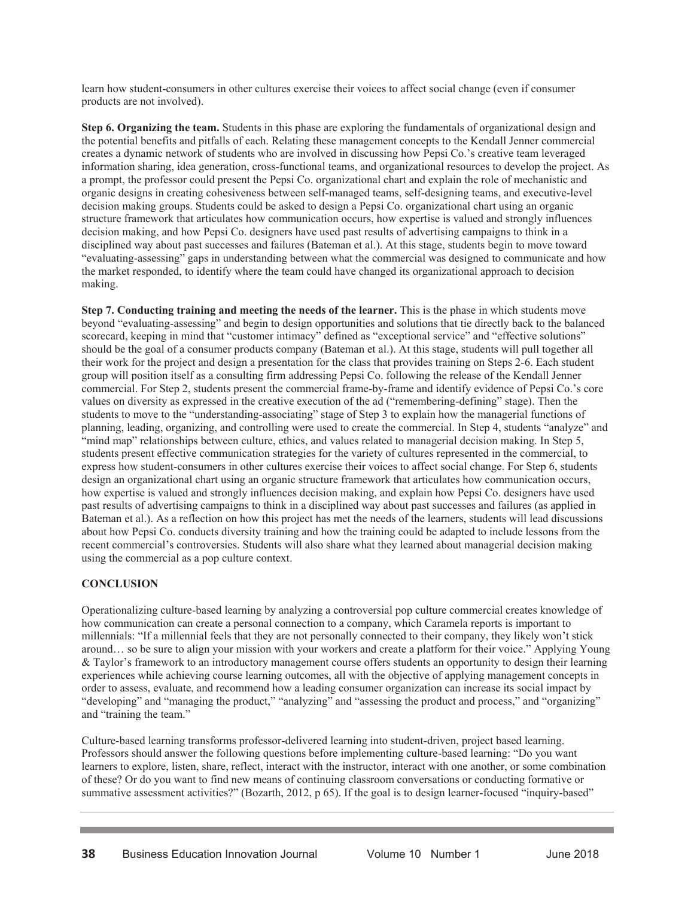learn how student-consumers in other cultures exercise their voices to affect social change (even if consumer products are not involved).

**Step 6. Organizing the team.** Students in this phase are exploring the fundamentals of organizational design and the potential benefits and pitfalls of each. Relating these management concepts to the Kendall Jenner commercial creates a dynamic network of students who are involved in discussing how Pepsi Co.'s creative team leveraged information sharing, idea generation, cross-functional teams, and organizational resources to develop the project. As a prompt, the professor could present the Pepsi Co. organizational chart and explain the role of mechanistic and organic designs in creating cohesiveness between self-managed teams, self-designing teams, and executive-level decision making groups. Students could be asked to design a Pepsi Co. organizational chart using an organic structure framework that articulates how communication occurs, how expertise is valued and strongly influences decision making, and how Pepsi Co. designers have used past results of advertising campaigns to think in a disciplined way about past successes and failures (Bateman et al.). At this stage, students begin to move toward "evaluating-assessing" gaps in understanding between what the commercial was designed to communicate and how the market responded, to identify where the team could have changed its organizational approach to decision making.

**Step 7. Conducting training and meeting the needs of the learner.** This is the phase in which students move beyond "evaluating-assessing" and begin to design opportunities and solutions that tie directly back to the balanced scorecard, keeping in mind that "customer intimacy" defined as "exceptional service" and "effective solutions" should be the goal of a consumer products company (Bateman et al.). At this stage, students will pull together all their work for the project and design a presentation for the class that provides training on Steps 2-6. Each student group will position itself as a consulting firm addressing Pepsi Co. following the release of the Kendall Jenner commercial. For Step 2, students present the commercial frame-by-frame and identify evidence of Pepsi Co.'s core values on diversity as expressed in the creative execution of the ad ("remembering-defining" stage). Then the students to move to the "understanding-associating" stage of Step 3 to explain how the managerial functions of planning, leading, organizing, and controlling were used to create the commercial. In Step 4, students "analyze" and "mind map" relationships between culture, ethics, and values related to managerial decision making. In Step 5, students present effective communication strategies for the variety of cultures represented in the commercial, to express how student-consumers in other cultures exercise their voices to affect social change. For Step 6, students design an organizational chart using an organic structure framework that articulates how communication occurs, how expertise is valued and strongly influences decision making, and explain how Pepsi Co. designers have used past results of advertising campaigns to think in a disciplined way about past successes and failures (as applied in Bateman et al.). As a reflection on how this project has met the needs of the learners, students will lead discussions about how Pepsi Co. conducts diversity training and how the training could be adapted to include lessons from the recent commercial's controversies. Students will also share what they learned about managerial decision making using the commercial as a pop culture context.

## **CONCLUSION**

Operationalizing culture-based learning by analyzing a controversial pop culture commercial creates knowledge of how communication can create a personal connection to a company, which Caramela reports is important to millennials: "If a millennial feels that they are not personally connected to their company, they likely won't stick around… so be sure to align your mission with your workers and create a platform for their voice." Applying Young & Taylor's framework to an introductory management course offers students an opportunity to design their learning experiences while achieving course learning outcomes, all with the objective of applying management concepts in order to assess, evaluate, and recommend how a leading consumer organization can increase its social impact by "developing" and "managing the product," "analyzing" and "assessing the product and process," and "organizing" and "training the team."

Culture-based learning transforms professor-delivered learning into student-driven, project based learning. Professors should answer the following questions before implementing culture-based learning: "Do you want learners to explore, listen, share, reflect, interact with the instructor, interact with one another, or some combination of these? Or do you want to find new means of continuing classroom conversations or conducting formative or summative assessment activities?" (Bozarth, 2012, p 65). If the goal is to design learner-focused "inquiry-based"